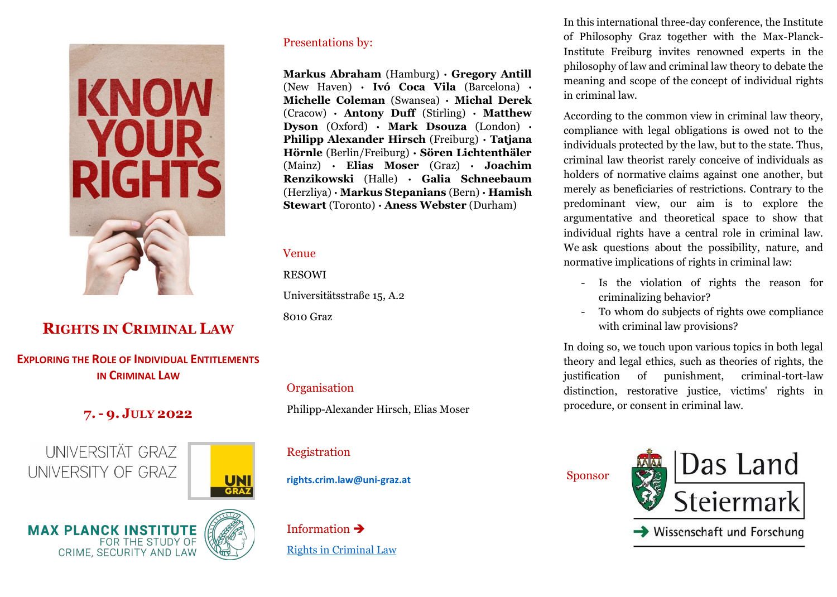

# **RIGHTS IN CRIMINAL LAW**

## **EXPLORING THE ROLE OF INDIVIDUAL ENTITLEMENTS IN CRIMINAL LAW**

## **7. - 9. JULY 2022**

**UNIVERSITÄT GRAZ** UNIVERSITY OF GRAZ



**MAX PLANCK INSTITUTE** FOR THE STUDY OF **CRIME, SECURITY AND LAW** 



Presentations by:

**Markus Abraham** (Hamburg) **· Gregory Antill**  (New Haven) **· Ivó Coca Vila** (Barcelona) **· Michelle Coleman** (Swansea) **· Michal Derek** (Cracow) **· Antony Duff** (Stirling) **· Matthew Dyson** (Oxford) **· Mark Dsouza** (London) **· Philipp Alexander Hirsch** (Freiburg) **· Tatjana Hörnle** (Berlin/Freiburg) **· Sören Lichtenthäler** (Mainz) **· Elias Moser** (Graz) **· Joachim Renzikowski** (Halle) **· Galia Schneebaum** (Herzliya) **· Markus Stepanians** (Bern) **· Hamish Stewart** (Toronto) **· Aness Webster** (Durham)

#### Venue

RESOWI

Universitätsstraße 15, A.2

8010 Graz

### **Organisation**

Philipp-Alexander Hirsch, Elias Moser

Registration

**rights.crim.law@uni-graz.at** 

Information ➔ [Rights in Criminal Law](https://philosophie-gewi.uni-graz.at/de/praktische-philosophie/veranstaltungen/detail/article/international-conference-rights-in-criminal-law/) In this international three-day conference, the Institute of Philosophy Graz together with the Max-Planck-Institute Freiburg invites renowned experts in the philosophy of law and criminal law theory to debate the meaning and scope of the concept of individual rights in criminal law.

According to the common view in criminal law theory, compliance with legal obligations is owed not to the individuals protected by the law, but to the state. Thus, criminal law theorist rarely conceive of individuals as holders of normative claims against one another, but merely as beneficiaries of restrictions. Contrary to the predominant view, our aim is to explore the argumentative and theoretical space to show that individual rights have a central role in criminal law. We ask questions about the possibility, nature, and normative implications of rights in criminal law:

- Is the violation of rights the reason for criminalizing behavior?
- To whom do subjects of rights owe compliance with criminal law provisions?

In doing so, we touch upon various topics in both legal theory and legal ethics, such as theories of rights, the justification of punishment, criminal-tort-law distinction, restorative justice, victims' rights in procedure, or consent in criminal law.

Sponsor